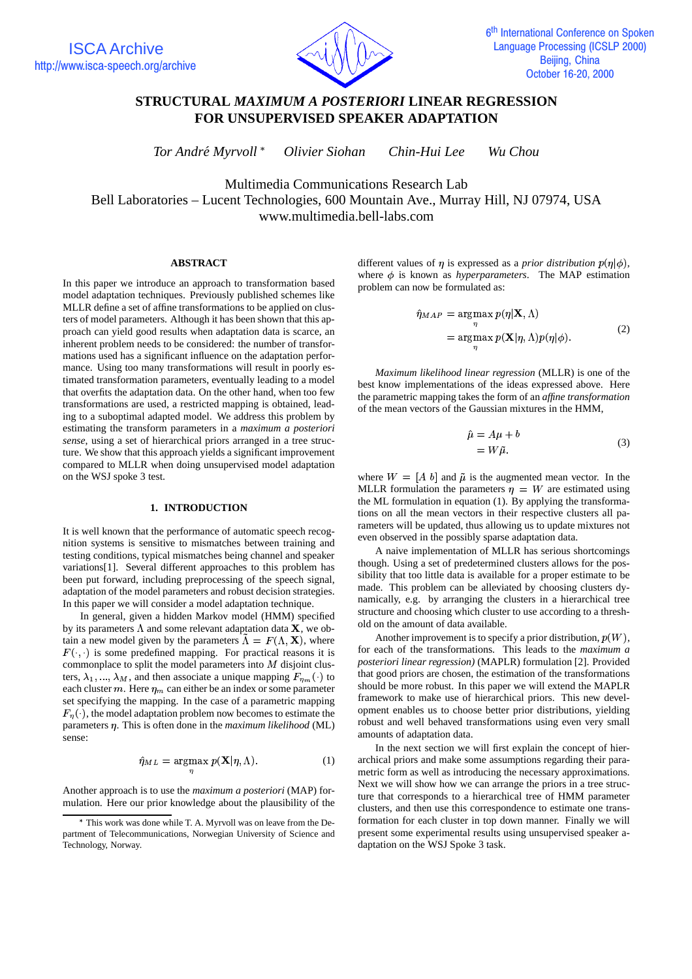

# **STRUCTURAL** *MAXIMUM A POSTERIORI* **LINEAR REGRESSION FOR UNSUPERVISED SPEAKER ADAPTATION**

*Tor Andre´ Myrvoll Olivier Siohan Chin-Hui Lee Wu Chou*

Multimedia Communications Research Lab Bell Laboratories – Lucent Technologies, 600 Mountain Ave., Murray Hill, NJ 07974, USA www.multimedia.bell-labs.com

#### **ABSTRACT**

In this paper we introduce an approach to transformation based model adaptation techniques. Previously published schemes like MLLR define a set of affine transformations to be applied on clusters of model parameters. Although it has been shown that this approach can yield good results when adaptation data is scarce, an inherent problem needs to be considered: the number of transformations used has a significant influence on the adaptation performance. Using too many transformations will result in poorly estimated transformation parameters, eventually leading to a model that overfits the adaptation data. On the other hand, when too few transformations are used, a restricted mapping is obtained, leading to a suboptimal adapted model. We address this problem by estimating the transform parameters in a *maximum a posteriori sense*, using a set of hierarchical priors arranged in a tree structure. We show that this approach yields a significant improvement compared to MLLR when doing unsupervised model adaptation on the WSJ spoke 3 test.

# **1. INTRODUCTION**

It is well known that the performance of automatic speech recognition systems is sensitive to mismatches between training and testing conditions, typical mismatches being channel and speaker variations[1]. Several different approaches to this problem has been put forward, including preprocessing of the speech signal, adaptation of the model parameters and robust decision strategies. In this paper we will consider a model adaptation technique.

In general, given a hidden Markov model (HMM) specified by its parameters  $\Lambda$  and some relevant adaptation data **X**, we obtain a new model given by the parameters  $\tilde{\Lambda} = F(\Lambda, \mathbf{X})$ , where  $F(\cdot, \cdot)$  is some predefined mapping. For practical reasons it is commonplace to split the model parameters into  $M$  disjoint clusters,  $\lambda_1, ..., \lambda_M$ , and then associate a unique mapping  $F_{\eta_m}(\cdot)$  to each cluster  $m$ . Here  $\eta_m$  can either be an index or some parameter set specifying the mapping. In the case of a parametric mapping  $F_n(\cdot)$ , the model adaptation problem now becomes to estimate the parameters  $\eta$ . This is often done in the *maximum likelihood* (ML) sense:

$$
\hat{\eta}_{ML} = \underset{n}{\operatorname{argmax}} \ p(\mathbf{X}|\eta, \Lambda). \tag{1}
$$

Another approach is to use the *maximum a posteriori* (MAP) formulation. Here our prior knowledge about the plausibility of the

different values of  $\eta$  is expressed as a *prior distribution*  $p(\eta|\phi)$ , where  $\phi$  is known as *hyperparameters*. The MAP estimation problem can now be formulated as:

$$
\hat{\eta}_{MAP} = \underset{\eta}{\operatorname{argmax}} p(\eta | \mathbf{X}, \Lambda) \n= \underset{\eta}{\operatorname{argmax}} p(\mathbf{X} | \eta, \Lambda) p(\eta | \phi).
$$
\n(2)

*Maximum likelihood linear regression* (MLLR) is one of the best know implementations of the ideas expressed above. Here the parametric mapping takes the form of an *affine transformation* of the mean vectors of the Gaussian mixtures in the HMM,

$$
\begin{aligned}\n\hat{\mu} &= A\mu + b \\
&= W\tilde{\mu}.\n\end{aligned} \tag{3}
$$

where  $W = [A \; b]$  and  $\tilde{\mu}$  is the augmented mean vector. In the MLLR formulation the parameters  $\eta = W$  are estimated using the ML formulation in equation (1). By applying the transformations on all the mean vectors in their respective clusters all parameters will be updated, thus allowing us to update mixtures not even observed in the possibly sparse adaptation data.

A naive implementation of MLLR has serious shortcomings though. Using a set of predetermined clusters allows for the possibility that too little data is available for a proper estimate to be made. This problem can be alleviated by choosing clusters dynamically, e.g. by arranging the clusters in a hierarchical tree structure and choosing which cluster to use according to a threshold on the amount of data available.

Another improvement is to specify a prior distribution,  $p(W)$ , for each of the transformations. This leads to the *maximum a posteriori linear regression)* (MAPLR) formulation [2]. Provided that good priors are chosen, the estimation of the transformations should be more robust. In this paper we will extend the MAPLR framework to make use of hierarchical priors. This new development enables us to choose better prior distributions, yielding robust and well behaved transformations using even very small amounts of adaptation data.

In the next section we will first explain the concept of hierarchical priors and make some assumptions regarding their parametric form as well as introducing the necessary approximations. Next we will show how we can arrange the priors in a tree structure that corresponds to a hierarchical tree of HMM parameter clusters, and then use this correspondence to estimate one transformation for each cluster in top down manner. Finally we will present some experimental results using unsupervised speaker adaptation on the WSJ Spoke 3 task.

This work was done while T. A. Myrvoll was on leave from the Department of Telecommunications, Norwegian University of Science and Technology, Norway.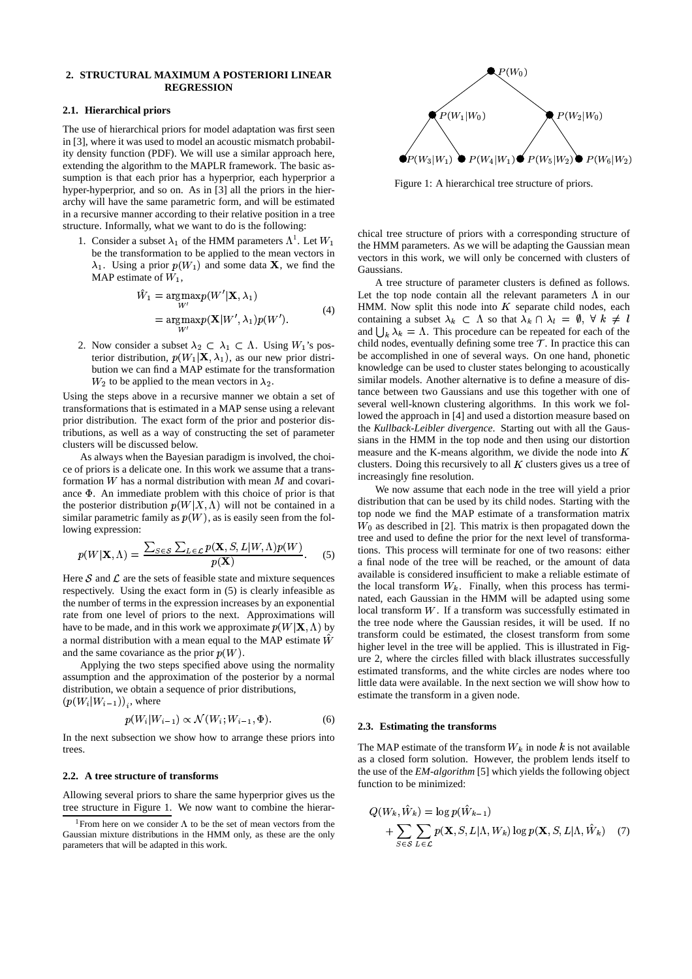### **2. STRUCTURAL MAXIMUM A POSTERIORI LINEAR REGRESSION**

### **2.1. Hierarchical priors**

The use of hierarchical priors for model adaptation was first seen in [3], where it was used to model an acoustic mismatch probability density function (PDF). We will use a similar approach here, extending the algorithm to the MAPLR framework. The basic assumption is that each prior has a hyperprior, each hyperprior a hyper-hyperprior, and so on. As in [3] all the priors in the hierarchy will have the same parametric form, and will be estimated in a recursive manner according to their relative position in a tree structure. Informally, what we want to do is the following:

1. Consider a subset  $\lambda_1$  of the HMM parameters  $\Lambda^1$ . Let  $W_1$ be the transformation to be applied to the mean vectors in  $\lambda_1$ . Using a prior  $p(W_1)$  and some data **X**, we find the MAP estimate of  $W_1$ ,

$$
\hat{W}_1 = \underset{W'}{\operatorname{argmax}} p(W'|\mathbf{X}, \lambda_1) \n= \underset{W'}{\operatorname{argmax}} p(\mathbf{X}|W', \lambda_1) p(W').
$$
\n(4)

2. Now consider a subset  $\lambda_2 \subset \lambda_1 \subset \Lambda$ . Using  $W_1$ 's pos- child node terior distribution,  $p(W_1|\mathbf{X}, \lambda_1)$ , as our new prior distrib ution we can find a MAP estimate for the transformation  $W_2$  to be applied to the mean vectors in  $\lambda_2$ .

Using the steps above in a recursive manner we obtain a set of transformations that is estimated in a MAP sense using a relevant prior distribution. The exact form of the prior and posterior distributions, as well as a way of constructing the set of parameter clusters will be discussed below.

As always when the Bayesian paradigm is involved, the choice of priors is a delicate one. In this work we assume that a transformation W has a normal distribution with mean M and covariance  $\Phi$ . An immediate problem with this choice of prior is that the posterior distribution  $p(W|X, \Lambda)$  will not be contained in a similar parametric family as  $p(W)$ , as is easily seen from the following expression:

$$
p(W|\mathbf{X}, \Lambda) = \frac{\sum_{S \in \mathcal{S}} \sum_{L \in \mathcal{L}} p(\mathbf{X}, S, L|W, \Lambda) p(W)}{p(\mathbf{X})}.
$$
 (5)

Here  $S$  and  $\mathcal L$  are the sets of feasible state and mixture sequences respectively. Using the exact form in (5) is clearly infeasible as the number of terms in the expression increases by an exponential rate from one level of priors to the next. Approximations will have to be made, and in this work we approximate  $p(W|X, \Lambda)$  by a normal distribution with a mean equal to the MAP estimate  $\hat{W}$ and the same covariance as the prior  $p(W)$ .

Applying the two steps specified above using the normality assumption and the approximation of the posterior by a normal distribution, we obtain a sequence of prior distributions,  $(p(W_i|W_{i-1}))_i$ , where

$$
p(W_i|W_{i-1}) \propto \mathcal{N}(W_i; W_{i-1}, \Phi). \tag{6}
$$

In the next subsection we show how to arrange these priors into trees.

#### **2.2. A tree structure of transforms**

Allowing several priors to share the same hyperprior gives us the tree structure in Figure 1. We now want to combine the hierar-



Figure 1: A hierarchical tree structure of priors.

Let  $W_1$  the HMM parameters. As we will be adapting the Gaussian mean chical tree structure of priors with a corresponding structure of vectors in this work, we will only be concerned with clusters of Gaussians.

> A tree structure of parameter clusters is defined as follows. Let the top node contain all the relevant parameters  $\Lambda$  in our HMM. Now split this node into  $K$  separate child nodes, each containing a subset  $\lambda_k \subset \Lambda$  so that  $\lambda_k \cap \lambda_l = \emptyset$ ,  $\forall k \neq l$ and  $\bigcup_{k} \lambda_k = \Lambda$ . This procedure can be repeated for each of the child nodes, eventually defining some tree  $\mathcal T$ . In practice this can be accomplished in one of several ways. On one hand, phonetic knowledge can be used to cluster states belonging to acoustically similar models. Another alternative is to define a measure of distance between two Gaussians and use this together with one of several well-known clustering algorithms. In this work we followed the approach in [4] and used a distortion measure based on the *Kullback-Leibler divergence*. Starting out with all the Gaussians in the HMM in the top node and then using our distortion measure and the K-means algorithm, we divide the node into  $K$ clusters. Doing this recursively to all  $K$  clusters gives us a tree of increasingly fine resolution.

 transform could be estimated, the closest transform from some We now assume that each node in the tree will yield a prior distribution that can be used by its child nodes. Starting with the top node we find the MAP estimate of a transformation matrix  $W_0$  as described in [2]. This matrix is then propagated down the tree and used to define the prior for the next level of transformations. This process will terminate for one of two reasons: either a final node of the tree will be reached, or the amount of data available is considered insufficient to make a reliable estimate of the local transform  $W_k$ . Finally, when this process has terminated, each Gaussian in the HMM will be adapted using some local transform  $W$ . If a transform was successfully estimated in the tree node where the Gaussian resides, it will be used. If no higher level in the tree will be applied. This is illustrated in Figure 2, where the circles filled with black illustrates successfully estimated transforms, and the white circles are nodes where too little data were available. In the next section we will show how to estimate the transform in a given node.

#### **2.3. Estimating the transforms**

The MAP estimate of the transform  $W_k$  in node k is not available as a closed form solution. However, the problem lends itself to the use of the *EM-algorithm* [5] which yields the following object function to be minimized:

$$
Q(W_k, \hat{W}_k) = \log p(\hat{W}_{k-1})
$$
  
+ 
$$
\sum_{S \in \mathcal{S}} \sum_{L \in \mathcal{L}} p(\mathbf{X}, S, L | \Lambda, W_k) \log p(\mathbf{X}, S, L | \Lambda, \hat{W}_k)
$$
 (7)

<sup>&</sup>lt;sup>1</sup> From here on we consider  $\Lambda$  to be the set of mean vectors from the Gaussian mixture distributions in the HMM only, as these are the only parameters that will be adapted in this work.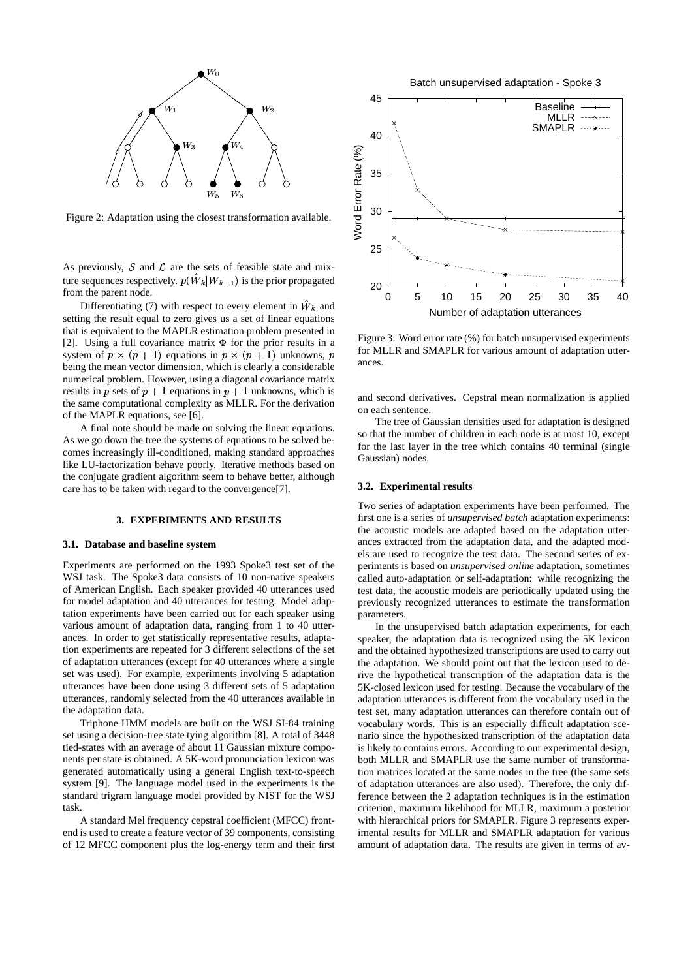

Figure 2: Adaptation using the closest transformation available.

As previously,  $S$  and  $\mathcal L$  are the sets of feasible state and mixture sequences respectively.  $p(\hat{W}_k|W_{k-1})$  is the prior propagated from the parent node.

Differentiating (7) with respect to every element in  $W_k$  and setting the result equal to zero gives us a set of linear equations that is equivalent to the MAPLR estimation problem presented in [2]. Using a full covariance matrix  $\Phi$  for the prior results in a system of  $p \times (p + 1)$  equations in  $p \times (p + 1)$  unknowns, p being the mean vector dimension, which is clearly a considerable numerical problem. However, using a diagonal covariance matrix results in p sets of  $p + 1$  equations in  $p + 1$  unknowns, which is the same computational complexity as MLLR. For the derivation of the MAPLR equations, see [6].

A final note should be made on solving the linear equations. As we go down the tree the systems of equations to be solved becomes increasingly ill-conditioned, making standard approaches like LU-factorization behave poorly. Iterative methods based on the conjugate gradient algorithm seem to behave better, although care has to be taken with regard to the convergence[7].

#### **3. EXPERIMENTS AND RESULTS**

#### **3.1. Database and baseline system**

Experiments are performed on the 1993 Spoke3 test set of the WSJ task. The Spoke3 data consists of 10 non-native speakers of American English. Each speaker provided 40 utterances used for model adaptation and 40 utterances for testing. Model adaptation experiments have been carried out for each speaker using various amount of adaptation data, ranging from 1 to 40 utterances. In order to get statistically representative results, adaptation experiments are repeated for 3 different selections of the set of adaptation utterances (except for 40 utterances where a single set was used). For example, experiments involving 5 adaptation utterances have been done using 3 different sets of 5 adaptation utterances, randomly selected from the 40 utterances available in the adaptation data.

Triphone HMM models are built on the WSJ SI-84 training set using a decision-tree state tying algorithm [8]. A total of 3448 tied-states with an average of about 11 Gaussian mixture components per state is obtained. A 5K-word pronunciation lexicon was generated automatically using a general English text-to-speech system [9]. The language model used in the experiments is the standard trigram language model provided by NIST for the WSJ task.

A standard Mel frequency cepstral coefficient (MFCC) frontend is used to create a feature vector of 39 components, consisting of 12 MFCC component plus the log-energy term and their first

Batch unsupervised adaptation - Spoke 3



Figure 3: Word error rate (%) for batch unsupervised experiments for MLLR and SMAPLR for various amount of adaptation utterances.

and second derivatives. Cepstral mean normalization is applied on each sentence.

The tree of Gaussian densities used for adaptation is designed so that the number of children in each node is at most 10, except for the last layer in the tree which contains 40 terminal (single Gaussian) nodes.

#### **3.2. Experimental results**

Two series of adaptation experiments have been performed. The first one is a series of *unsupervised batch* adaptation experiments: the acoustic models are adapted based on the adaptation utterances extracted from the adaptation data, and the adapted models are used to recognize the test data. The second series of experiments is based on *unsupervised online* adaptation, sometimes called auto-adaptation or self-adaptation: while recognizing the test data, the acoustic models are periodically updated using the previously recognized utterances to estimate the transformation parameters.

In the unsupervised batch adaptation experiments, for each speaker, the adaptation data is recognized using the 5K lexicon and the obtained hypothesized transcriptions are used to carry out the adaptation. We should point out that the lexicon used to derive the hypothetical transcription of the adaptation data is the 5K-closed lexicon used for testing. Because the vocabulary of the adaptation utterances is different from the vocabulary used in the test set, many adaptation utterances can therefore contain out of vocabulary words. This is an especially difficult adaptation scenario since the hypothesized transcription of the adaptation data is likely to contains errors. According to our experimental design, both MLLR and SMAPLR use the same number of transformation matrices located at the same nodes in the tree (the same sets of adaptation utterances are also used). Therefore, the only difference between the 2 adaptation techniques is in the estimation criterion, maximum likelihood for MLLR, maximum a posterior with hierarchical priors for SMAPLR. Figure 3 represents experimental results for MLLR and SMAPLR adaptation for various amount of adaptation data. The results are given in terms of av-